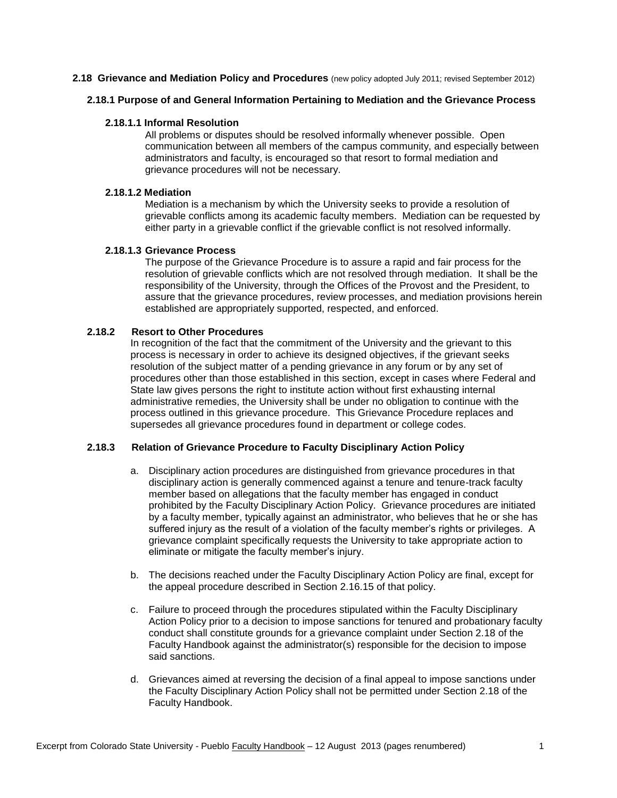#### **2.18 Grievance and Mediation Policy and Procedures** (new policy adopted July 2011; revised September 2012)

## **2.18.1 Purpose of and General Information Pertaining to Mediation and the Grievance Process**

## **2.18.1.1 Informal Resolution**

All problems or disputes should be resolved informally whenever possible. Open communication between all members of the campus community, and especially between administrators and faculty, is encouraged so that resort to formal mediation and grievance procedures will not be necessary.

# **2.18.1.2 Mediation**

Mediation is a mechanism by which the University seeks to provide a resolution of grievable conflicts among its academic faculty members. Mediation can be requested by either party in a grievable conflict if the grievable conflict is not resolved informally.

## **2.18.1.3 Grievance Process**

The purpose of the Grievance Procedure is to assure a rapid and fair process for the resolution of grievable conflicts which are not resolved through mediation. It shall be the responsibility of the University, through the Offices of the Provost and the President, to assure that the grievance procedures, review processes, and mediation provisions herein established are appropriately supported, respected, and enforced.

## **2.18.2 Resort to Other Procedures**

In recognition of the fact that the commitment of the University and the grievant to this process is necessary in order to achieve its designed objectives, if the grievant seeks resolution of the subject matter of a pending grievance in any forum or by any set of procedures other than those established in this section, except in cases where Federal and State law gives persons the right to institute action without first exhausting internal administrative remedies, the University shall be under no obligation to continue with the process outlined in this grievance procedure. This Grievance Procedure replaces and supersedes all grievance procedures found in department or college codes.

# **2.18.3 Relation of Grievance Procedure to Faculty Disciplinary Action Policy**

- a. Disciplinary action procedures are distinguished from grievance procedures in that disciplinary action is generally commenced against a tenure and tenure-track faculty member based on allegations that the faculty member has engaged in conduct prohibited by the Faculty Disciplinary Action Policy. Grievance procedures are initiated by a faculty member, typically against an administrator, who believes that he or she has suffered injury as the result of a violation of the faculty member's rights or privileges. A grievance complaint specifically requests the University to take appropriate action to eliminate or mitigate the faculty member's injury.
- b. The decisions reached under the Faculty Disciplinary Action Policy are final, except for the appeal procedure described in Section 2.16.15 of that policy.
- c. Failure to proceed through the procedures stipulated within the Faculty Disciplinary Action Policy prior to a decision to impose sanctions for tenured and probationary faculty conduct shall constitute grounds for a grievance complaint under Section 2.18 of the Faculty Handbook against the administrator(s) responsible for the decision to impose said sanctions.
- d. Grievances aimed at reversing the decision of a final appeal to impose sanctions under the Faculty Disciplinary Action Policy shall not be permitted under Section 2.18 of the Faculty Handbook.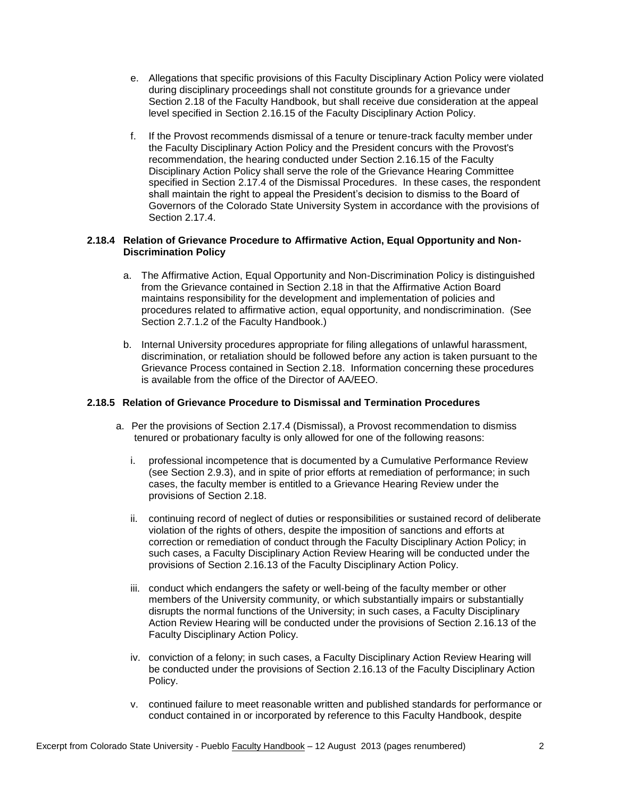- e. Allegations that specific provisions of this Faculty Disciplinary Action Policy were violated during disciplinary proceedings shall not constitute grounds for a grievance under Section 2.18 of the Faculty Handbook, but shall receive due consideration at the appeal level specified in Section 2.16.15 of the Faculty Disciplinary Action Policy.
- f. If the Provost recommends dismissal of a tenure or tenure-track faculty member under the Faculty Disciplinary Action Policy and the President concurs with the Provost's recommendation, the hearing conducted under Section 2.16.15 of the Faculty Disciplinary Action Policy shall serve the role of the Grievance Hearing Committee specified in Section 2.17.4 of the Dismissal Procedures. In these cases, the respondent shall maintain the right to appeal the President's decision to dismiss to the Board of Governors of the Colorado State University System in accordance with the provisions of Section 2.17.4.

# **2.18.4 Relation of Grievance Procedure to Affirmative Action, Equal Opportunity and Non-Discrimination Policy**

- a. The Affirmative Action, Equal Opportunity and Non-Discrimination Policy is distinguished from the Grievance contained in Section 2.18 in that the Affirmative Action Board maintains responsibility for the development and implementation of policies and procedures related to affirmative action, equal opportunity, and nondiscrimination. (See Section 2.7.1.2 of the Faculty Handbook.)
- b. Internal University procedures appropriate for filing allegations of unlawful harassment, discrimination, or retaliation should be followed before any action is taken pursuant to the Grievance Process contained in Section 2.18. Information concerning these procedures is available from the office of the Director of AA/EEO.

# **2.18.5 Relation of Grievance Procedure to Dismissal and Termination Procedures**

- a. Per the provisions of Section 2.17.4 (Dismissal), a Provost recommendation to dismiss tenured or probationary faculty is only allowed for one of the following reasons:
	- i. professional incompetence that is documented by a Cumulative Performance Review (see Section 2.9.3), and in spite of prior efforts at remediation of performance; in such cases, the faculty member is entitled to a Grievance Hearing Review under the provisions of Section 2.18.
	- ii. continuing record of neglect of duties or responsibilities or sustained record of deliberate violation of the rights of others, despite the imposition of sanctions and efforts at correction or remediation of conduct through the Faculty Disciplinary Action Policy; in such cases, a Faculty Disciplinary Action Review Hearing will be conducted under the provisions of Section 2.16.13 of the Faculty Disciplinary Action Policy.
	- iii. conduct which endangers the safety or well-being of the faculty member or other members of the University community, or which substantially impairs or substantially disrupts the normal functions of the University; in such cases, a Faculty Disciplinary Action Review Hearing will be conducted under the provisions of Section 2.16.13 of the Faculty Disciplinary Action Policy.
	- iv. conviction of a felony; in such cases, a Faculty Disciplinary Action Review Hearing will be conducted under the provisions of Section 2.16.13 of the Faculty Disciplinary Action Policy.
	- v. continued failure to meet reasonable written and published standards for performance or conduct contained in or incorporated by reference to this Faculty Handbook, despite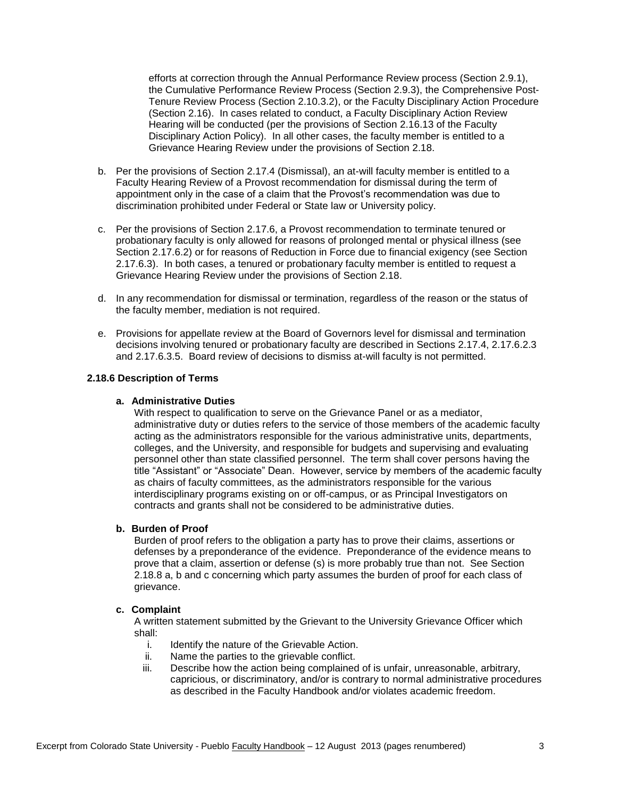efforts at correction through the Annual Performance Review process (Section 2.9.1), the Cumulative Performance Review Process (Section 2.9.3), the Comprehensive Post-Tenure Review Process (Section 2.10.3.2), or the Faculty Disciplinary Action Procedure (Section 2.16). In cases related to conduct, a Faculty Disciplinary Action Review Hearing will be conducted (per the provisions of Section 2.16.13 of the Faculty Disciplinary Action Policy). In all other cases, the faculty member is entitled to a Grievance Hearing Review under the provisions of Section 2.18.

- b. Per the provisions of Section 2.17.4 (Dismissal), an at-will faculty member is entitled to a Faculty Hearing Review of a Provost recommendation for dismissal during the term of appointment only in the case of a claim that the Provost's recommendation was due to discrimination prohibited under Federal or State law or University policy.
- c. Per the provisions of Section 2.17.6, a Provost recommendation to terminate tenured or probationary faculty is only allowed for reasons of prolonged mental or physical illness (see Section 2.17.6.2) or for reasons of Reduction in Force due to financial exigency (see Section 2.17.6.3). In both cases, a tenured or probationary faculty member is entitled to request a Grievance Hearing Review under the provisions of Section 2.18.
- d. In any recommendation for dismissal or termination, regardless of the reason or the status of the faculty member, mediation is not required.
- e. Provisions for appellate review at the Board of Governors level for dismissal and termination decisions involving tenured or probationary faculty are described in Sections 2.17.4, 2.17.6.2.3 and 2.17.6.3.5. Board review of decisions to dismiss at-will faculty is not permitted.

## **2.18.6 Description of Terms**

### **a. Administrative Duties**

With respect to qualification to serve on the Grievance Panel or as a mediator, administrative duty or duties refers to the service of those members of the academic faculty acting as the administrators responsible for the various administrative units, departments, colleges, and the University, and responsible for budgets and supervising and evaluating personnel other than state classified personnel. The term shall cover persons having the title "Assistant" or "Associate" Dean. However, service by members of the academic faculty as chairs of faculty committees, as the administrators responsible for the various interdisciplinary programs existing on or off-campus, or as Principal Investigators on contracts and grants shall not be considered to be administrative duties.

# **b. Burden of Proof**

Burden of proof refers to the obligation a party has to prove their claims, assertions or defenses by a preponderance of the evidence. Preponderance of the evidence means to prove that a claim, assertion or defense (s) is more probably true than not. See Section 2.18.8 a, b and c concerning which party assumes the burden of proof for each class of grievance.

### **c. Complaint**

A written statement submitted by the Grievant to the University Grievance Officer which shall:

- i. Identify the nature of the Grievable Action.
- ii. Name the parties to the grievable conflict.
- iii. Describe how the action being complained of is unfair, unreasonable, arbitrary, capricious, or discriminatory, and/or is contrary to normal administrative procedures as described in the Faculty Handbook and/or violates academic freedom.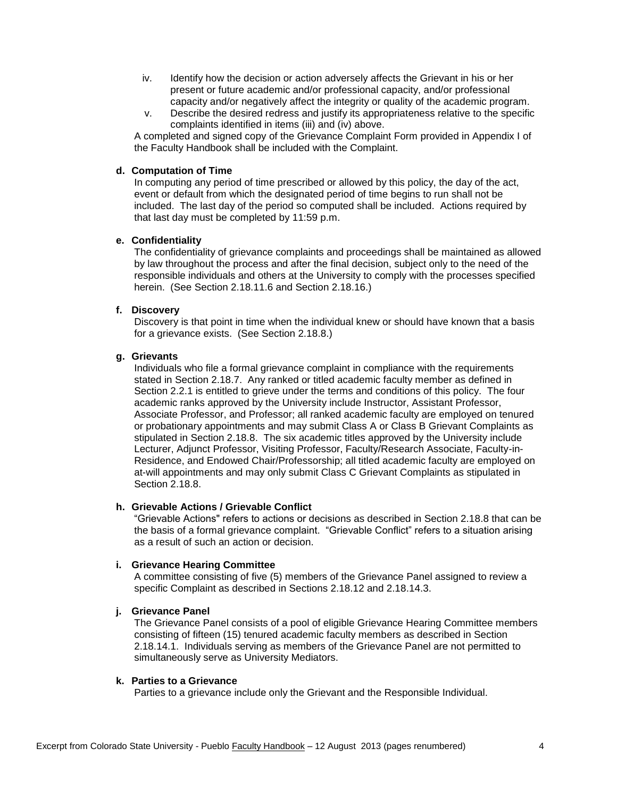- iv. Identify how the decision or action adversely affects the Grievant in his or her present or future academic and/or professional capacity, and/or professional capacity and/or negatively affect the integrity or quality of the academic program.
- v. Describe the desired redress and justify its appropriateness relative to the specific complaints identified in items (iii) and (iv) above.

A completed and signed copy of the Grievance Complaint Form provided in Appendix I of the Faculty Handbook shall be included with the Complaint.

# **d. Computation of Time**

In computing any period of time prescribed or allowed by this policy, the day of the act, event or default from which the designated period of time begins to run shall not be included. The last day of the period so computed shall be included. Actions required by that last day must be completed by 11:59 p.m.

# **e. Confidentiality**

The confidentiality of grievance complaints and proceedings shall be maintained as allowed by law throughout the process and after the final decision, subject only to the need of the responsible individuals and others at the University to comply with the processes specified herein. (See Section 2.18.11.6 and Section 2.18.16.)

# **f. Discovery**

Discovery is that point in time when the individual knew or should have known that a basis for a grievance exists. (See Section 2.18.8.)

# **g. Grievants**

Individuals who file a formal grievance complaint in compliance with the requirements stated in Section 2.18.7. Any ranked or titled academic faculty member as defined in Section 2.2.1 is entitled to grieve under the terms and conditions of this policy. The four academic ranks approved by the University include Instructor, Assistant Professor, Associate Professor, and Professor; all ranked academic faculty are employed on tenured or probationary appointments and may submit Class A or Class B Grievant Complaints as stipulated in Section 2.18.8. The six academic titles approved by the University include Lecturer, Adjunct Professor, Visiting Professor, Faculty/Research Associate, Faculty-in-Residence, and Endowed Chair/Professorship; all titled academic faculty are employed on at-will appointments and may only submit Class C Grievant Complaints as stipulated in Section 2.18.8.

# **h. Grievable Actions / Grievable Conflict**

"Grievable Actions" refers to actions or decisions as described in Section 2.18.8 that can be the basis of a formal grievance complaint. "Grievable Conflict" refers to a situation arising as a result of such an action or decision.

# **i. Grievance Hearing Committee**

A committee consisting of five (5) members of the Grievance Panel assigned to review a specific Complaint as described in Sections 2.18.12 and 2.18.14.3.

# **j. Grievance Panel**

The Grievance Panel consists of a pool of eligible Grievance Hearing Committee members consisting of fifteen (15) tenured academic faculty members as described in Section 2.18.14.1. Individuals serving as members of the Grievance Panel are not permitted to simultaneously serve as University Mediators.

# **k. Parties to a Grievance**

Parties to a grievance include only the Grievant and the Responsible Individual.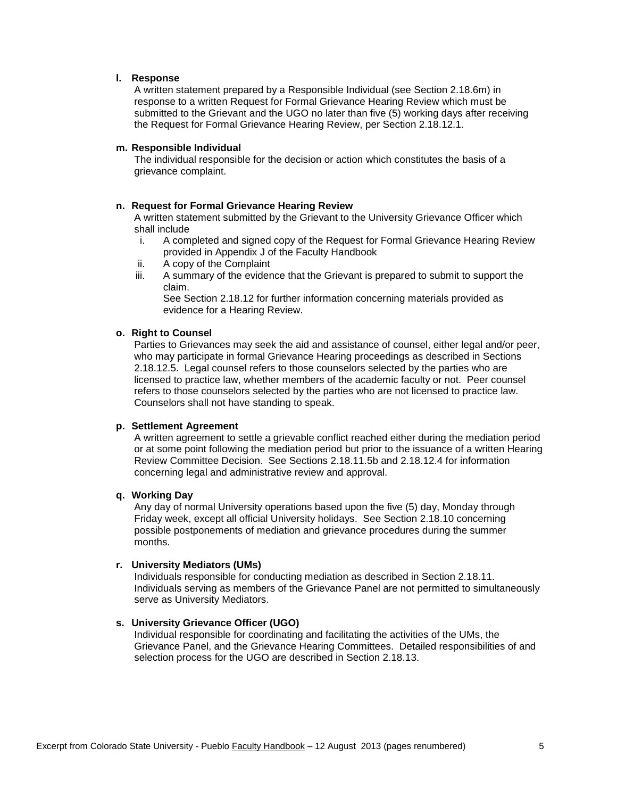## **l. Response**

A written statement prepared by a Responsible Individual (see Section 2.18.6m) in response to a written Request for Formal Grievance Hearing Review which must be submitted to the Grievant and the UGO no later than five (5) working days after receiving the Request for Formal Grievance Hearing Review, per Section 2.18.12.1.

## **m. Responsible Individual**

The individual responsible for the decision or action which constitutes the basis of a grievance complaint.

## **n. Request for Formal Grievance Hearing Review**

A written statement submitted by the Grievant to the University Grievance Officer which shall include

- i. A completed and signed copy of the Request for Formal Grievance Hearing Review provided in Appendix J of the Faculty Handbook
- ii. A copy of the Complaint
- iii. A summary of the evidence that the Grievant is prepared to submit to support the claim.

See Section 2.18.12 for further information concerning materials provided as evidence for a Hearing Review.

## **o. Right to Counsel**

Parties to Grievances may seek the aid and assistance of counsel, either legal and/or peer, who may participate in formal Grievance Hearing proceedings as described in Sections 2.18.12.5. Legal counsel refers to those counselors selected by the parties who are licensed to practice law, whether members of the academic faculty or not. Peer counsel refers to those counselors selected by the parties who are not licensed to practice law. Counselors shall not have standing to speak.

### **p. Settlement Agreement**

A written agreement to settle a grievable conflict reached either during the mediation period or at some point following the mediation period but prior to the issuance of a written Hearing Review Committee Decision. See Sections 2.18.11.5b and 2.18.12.4 for information concerning legal and administrative review and approval.

#### **q. Working Day**

Any day of normal University operations based upon the five (5) day, Monday through Friday week, except all official University holidays. See Section 2.18.10 concerning possible postponements of mediation and grievance procedures during the summer months.

# **r. University Mediators (UMs)**

Individuals responsible for conducting mediation as described in Section 2.18.11. Individuals serving as members of the Grievance Panel are not permitted to simultaneously serve as University Mediators.

# **s. University Grievance Officer (UGO)**

Individual responsible for coordinating and facilitating the activities of the UMs, the Grievance Panel, and the Grievance Hearing Committees. Detailed responsibilities of and selection process for the UGO are described in Section 2.18.13.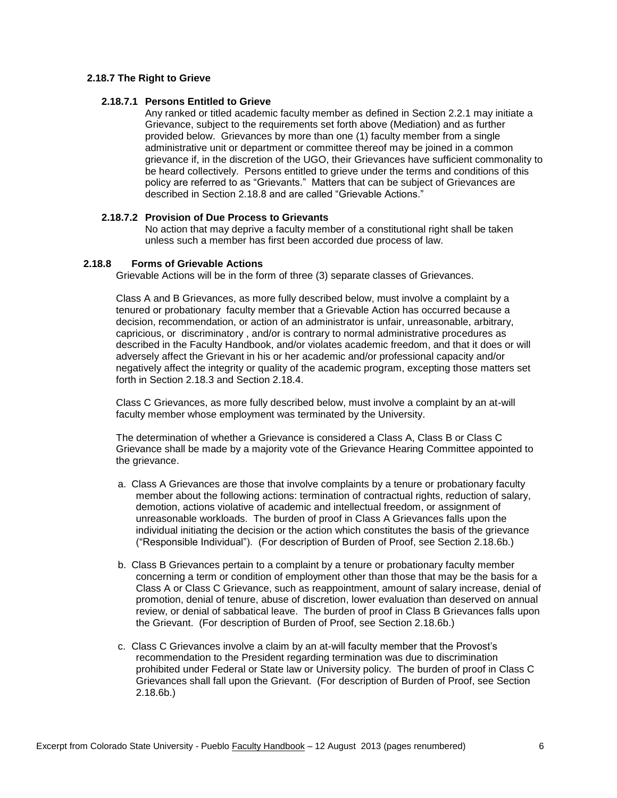# **2.18.7 The Right to Grieve**

# **2.18.7.1 Persons Entitled to Grieve**

Any ranked or titled academic faculty member as defined in Section 2.2.1 may initiate a Grievance, subject to the requirements set forth above (Mediation) and as further provided below. Grievances by more than one (1) faculty member from a single administrative unit or department or committee thereof may be joined in a common grievance if, in the discretion of the UGO, their Grievances have sufficient commonality to be heard collectively. Persons entitled to grieve under the terms and conditions of this policy are referred to as "Grievants." Matters that can be subject of Grievances are described in Section 2.18.8 and are called "Grievable Actions."

# **2.18.7.2 Provision of Due Process to Grievants**

No action that may deprive a faculty member of a constitutional right shall be taken unless such a member has first been accorded due process of law.

# **2.18.8 Forms of Grievable Actions**

Grievable Actions will be in the form of three (3) separate classes of Grievances.

Class A and B Grievances, as more fully described below, must involve a complaint by a tenured or probationary faculty member that a Grievable Action has occurred because a decision, recommendation, or action of an administrator is unfair, unreasonable, arbitrary, capricious, or discriminatory , and/or is contrary to normal administrative procedures as described in the Faculty Handbook, and/or violates academic freedom, and that it does or will adversely affect the Grievant in his or her academic and/or professional capacity and/or negatively affect the integrity or quality of the academic program, excepting those matters set forth in Section 2.18.3 and Section 2.18.4.

Class C Grievances, as more fully described below, must involve a complaint by an at-will faculty member whose employment was terminated by the University.

The determination of whether a Grievance is considered a Class A, Class B or Class C Grievance shall be made by a majority vote of the Grievance Hearing Committee appointed to the grievance.

- a. Class A Grievances are those that involve complaints by a tenure or probationary faculty member about the following actions: termination of contractual rights, reduction of salary, demotion, actions violative of academic and intellectual freedom, or assignment of unreasonable workloads. The burden of proof in Class A Grievances falls upon the individual initiating the decision or the action which constitutes the basis of the grievance ("Responsible Individual"). (For description of Burden of Proof, see Section 2.18.6b.)
- b. Class B Grievances pertain to a complaint by a tenure or probationary faculty member concerning a term or condition of employment other than those that may be the basis for a Class A or Class C Grievance, such as reappointment, amount of salary increase, denial of promotion, denial of tenure, abuse of discretion, lower evaluation than deserved on annual review, or denial of sabbatical leave. The burden of proof in Class B Grievances falls upon the Grievant. (For description of Burden of Proof, see Section 2.18.6b.)
- c. Class C Grievances involve a claim by an at-will faculty member that the Provost's recommendation to the President regarding termination was due to discrimination prohibited under Federal or State law or University policy. The burden of proof in Class C Grievances shall fall upon the Grievant. (For description of Burden of Proof, see Section 2.18.6b.)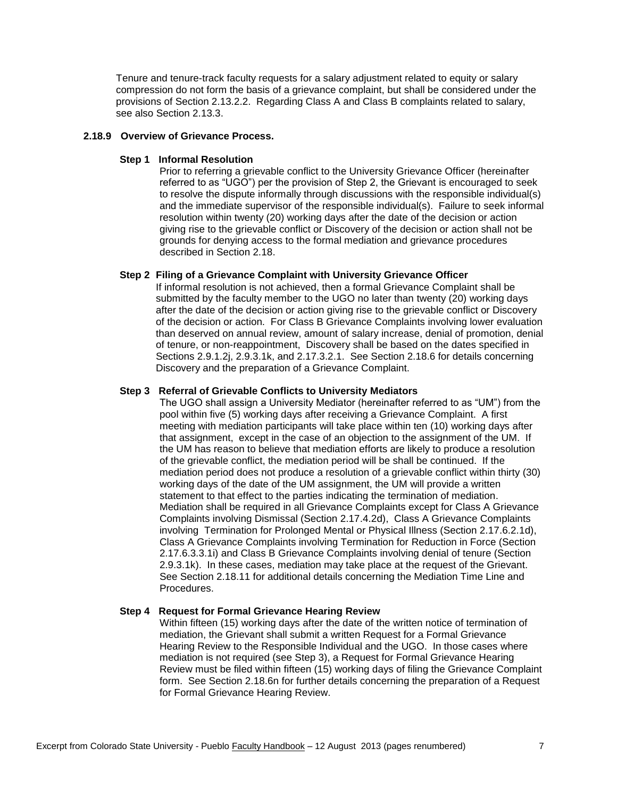Tenure and tenure-track faculty requests for a salary adjustment related to equity or salary compression do not form the basis of a grievance complaint, but shall be considered under the provisions of Section 2.13.2.2. Regarding Class A and Class B complaints related to salary, see also Section 2.13.3.

### **2.18.9 Overview of Grievance Process.**

### **Step 1 Informal Resolution**

Prior to referring a grievable conflict to the University Grievance Officer (hereinafter referred to as "UGO") per the provision of Step 2, the Grievant is encouraged to seek to resolve the dispute informally through discussions with the responsible individual(s) and the immediate supervisor of the responsible individual(s). Failure to seek informal resolution within twenty (20) working days after the date of the decision or action giving rise to the grievable conflict or Discovery of the decision or action shall not be grounds for denying access to the formal mediation and grievance procedures described in Section 2.18.

## **Step 2 Filing of a Grievance Complaint with University Grievance Officer**

If informal resolution is not achieved, then a formal Grievance Complaint shall be submitted by the faculty member to the UGO no later than twenty (20) working days after the date of the decision or action giving rise to the grievable conflict or Discovery of the decision or action. For Class B Grievance Complaints involving lower evaluation than deserved on annual review, amount of salary increase, denial of promotion, denial of tenure, or non-reappointment, Discovery shall be based on the dates specified in Sections 2.9.1.2j, 2.9.3.1k, and 2.17.3.2.1. See Section 2.18.6 for details concerning Discovery and the preparation of a Grievance Complaint.

#### **Step 3 Referral of Grievable Conflicts to University Mediators**

The UGO shall assign a University Mediator (hereinafter referred to as "UM") from the pool within five (5) working days after receiving a Grievance Complaint. A first meeting with mediation participants will take place within ten (10) working days after that assignment, except in the case of an objection to the assignment of the UM. If the UM has reason to believe that mediation efforts are likely to produce a resolution of the grievable conflict, the mediation period will be shall be continued. If the mediation period does not produce a resolution of a grievable conflict within thirty (30) working days of the date of the UM assignment, the UM will provide a written statement to that effect to the parties indicating the termination of mediation. Mediation shall be required in all Grievance Complaints except for Class A Grievance Complaints involving Dismissal (Section 2.17.4.2d), Class A Grievance Complaints involving Termination for Prolonged Mental or Physical Illness (Section 2.17.6.2.1d), Class A Grievance Complaints involving Termination for Reduction in Force (Section 2.17.6.3.3.1i) and Class B Grievance Complaints involving denial of tenure (Section 2.9.3.1k). In these cases, mediation may take place at the request of the Grievant. See Section 2.18.11 for additional details concerning the Mediation Time Line and Procedures.

#### **Step 4 Request for Formal Grievance Hearing Review**

Within fifteen (15) working days after the date of the written notice of termination of mediation, the Grievant shall submit a written Request for a Formal Grievance Hearing Review to the Responsible Individual and the UGO. In those cases where mediation is not required (see Step 3), a Request for Formal Grievance Hearing Review must be filed within fifteen (15) working days of filing the Grievance Complaint form. See Section 2.18.6n for further details concerning the preparation of a Request for Formal Grievance Hearing Review.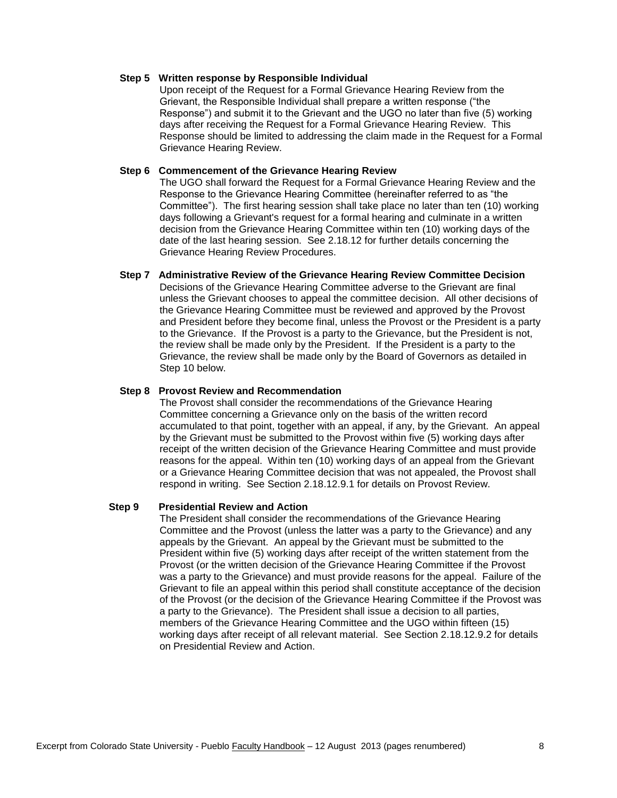## **Step 5 Written response by Responsible Individual**

Upon receipt of the Request for a Formal Grievance Hearing Review from the Grievant, the Responsible Individual shall prepare a written response ("the Response") and submit it to the Grievant and the UGO no later than five (5) working days after receiving the Request for a Formal Grievance Hearing Review. This Response should be limited to addressing the claim made in the Request for a Formal Grievance Hearing Review.

## **Step 6 Commencement of the Grievance Hearing Review**

The UGO shall forward the Request for a Formal Grievance Hearing Review and the Response to the Grievance Hearing Committee (hereinafter referred to as "the Committee"). The first hearing session shall take place no later than ten (10) working days following a Grievant's request for a formal hearing and culminate in a written decision from the Grievance Hearing Committee within ten (10) working days of the date of the last hearing session. See 2.18.12 for further details concerning the Grievance Hearing Review Procedures.

## **Step 7 Administrative Review of the Grievance Hearing Review Committee Decision**

Decisions of the Grievance Hearing Committee adverse to the Grievant are final unless the Grievant chooses to appeal the committee decision. All other decisions of the Grievance Hearing Committee must be reviewed and approved by the Provost and President before they become final, unless the Provost or the President is a party to the Grievance. If the Provost is a party to the Grievance, but the President is not, the review shall be made only by the President. If the President is a party to the Grievance, the review shall be made only by the Board of Governors as detailed in Step 10 below.

#### **Step 8 Provost Review and Recommendation**

The Provost shall consider the recommendations of the Grievance Hearing Committee concerning a Grievance only on the basis of the written record accumulated to that point, together with an appeal, if any, by the Grievant. An appeal by the Grievant must be submitted to the Provost within five (5) working days after receipt of the written decision of the Grievance Hearing Committee and must provide reasons for the appeal. Within ten (10) working days of an appeal from the Grievant or a Grievance Hearing Committee decision that was not appealed, the Provost shall respond in writing. See Section 2.18.12.9.1 for details on Provost Review.

## **Step 9 Presidential Review and Action**

The President shall consider the recommendations of the Grievance Hearing Committee and the Provost (unless the latter was a party to the Grievance) and any appeals by the Grievant. An appeal by the Grievant must be submitted to the President within five (5) working days after receipt of the written statement from the Provost (or the written decision of the Grievance Hearing Committee if the Provost was a party to the Grievance) and must provide reasons for the appeal. Failure of the Grievant to file an appeal within this period shall constitute acceptance of the decision of the Provost (or the decision of the Grievance Hearing Committee if the Provost was a party to the Grievance). The President shall issue a decision to all parties, members of the Grievance Hearing Committee and the UGO within fifteen (15) working days after receipt of all relevant material. See Section 2.18.12.9.2 for details on Presidential Review and Action.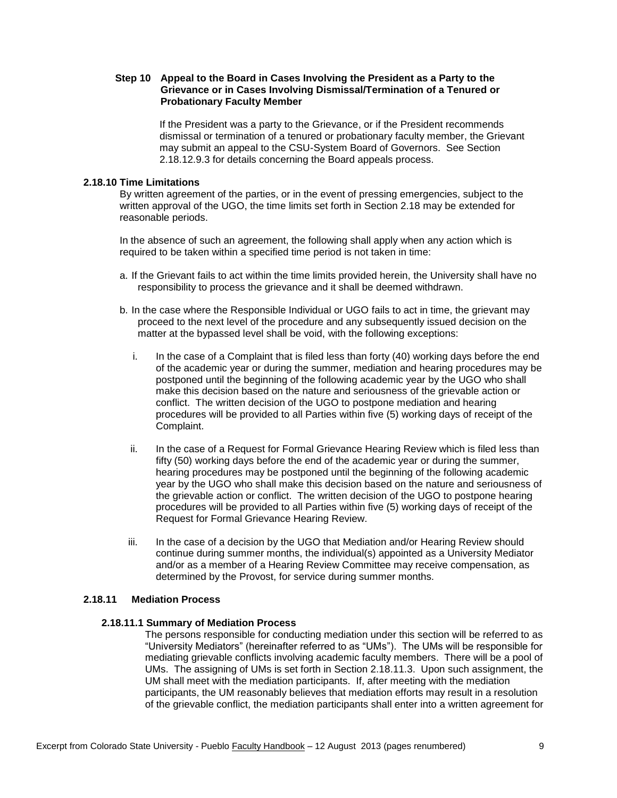## **Step 10 Appeal to the Board in Cases Involving the President as a Party to the Grievance or in Cases Involving Dismissal/Termination of a Tenured or Probationary Faculty Member**

If the President was a party to the Grievance, or if the President recommends dismissal or termination of a tenured or probationary faculty member, the Grievant may submit an appeal to the CSU-System Board of Governors. See Section 2.18.12.9.3 for details concerning the Board appeals process.

# **2.18.10 Time Limitations**

By written agreement of the parties, or in the event of pressing emergencies, subject to the written approval of the UGO, the time limits set forth in Section 2.18 may be extended for reasonable periods.

In the absence of such an agreement, the following shall apply when any action which is required to be taken within a specified time period is not taken in time:

- a. If the Grievant fails to act within the time limits provided herein, the University shall have no responsibility to process the grievance and it shall be deemed withdrawn.
- b. In the case where the Responsible Individual or UGO fails to act in time, the grievant may proceed to the next level of the procedure and any subsequently issued decision on the matter at the bypassed level shall be void, with the following exceptions:
	- i. In the case of a Complaint that is filed less than forty (40) working days before the end of the academic year or during the summer, mediation and hearing procedures may be postponed until the beginning of the following academic year by the UGO who shall make this decision based on the nature and seriousness of the grievable action or conflict. The written decision of the UGO to postpone mediation and hearing procedures will be provided to all Parties within five (5) working days of receipt of the Complaint.
	- ii. In the case of a Request for Formal Grievance Hearing Review which is filed less than fifty (50) working days before the end of the academic year or during the summer, hearing procedures may be postponed until the beginning of the following academic year by the UGO who shall make this decision based on the nature and seriousness of the grievable action or conflict. The written decision of the UGO to postpone hearing procedures will be provided to all Parties within five (5) working days of receipt of the Request for Formal Grievance Hearing Review.
	- iii. In the case of a decision by the UGO that Mediation and/or Hearing Review should continue during summer months, the individual(s) appointed as a University Mediator and/or as a member of a Hearing Review Committee may receive compensation, as determined by the Provost, for service during summer months.

# **2.18.11 Mediation Process**

### **2.18.11.1 Summary of Mediation Process**

The persons responsible for conducting mediation under this section will be referred to as "University Mediators" (hereinafter referred to as "UMs"). The UMs will be responsible for mediating grievable conflicts involving academic faculty members. There will be a pool of UMs. The assigning of UMs is set forth in Section 2.18.11.3. Upon such assignment, the UM shall meet with the mediation participants. If, after meeting with the mediation participants, the UM reasonably believes that mediation efforts may result in a resolution of the grievable conflict, the mediation participants shall enter into a written agreement for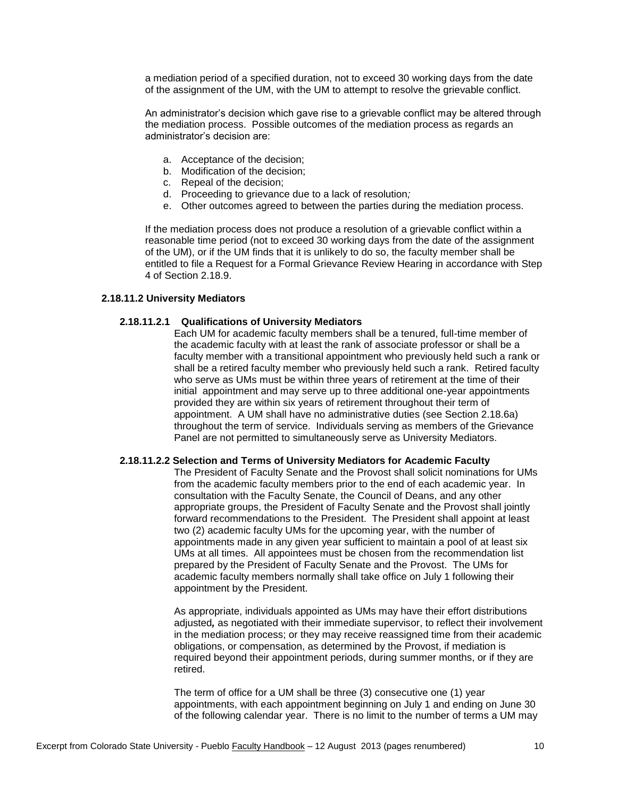a mediation period of a specified duration, not to exceed 30 working days from the date of the assignment of the UM, with the UM to attempt to resolve the grievable conflict.

An administrator's decision which gave rise to a grievable conflict may be altered through the mediation process. Possible outcomes of the mediation process as regards an administrator's decision are:

- a. Acceptance of the decision;
- b. Modification of the decision;
- c. Repeal of the decision;
- d. Proceeding to grievance due to a lack of resolution*;*
- e. Other outcomes agreed to between the parties during the mediation process.

If the mediation process does not produce a resolution of a grievable conflict within a reasonable time period (not to exceed 30 working days from the date of the assignment of the UM), or if the UM finds that it is unlikely to do so, the faculty member shall be entitled to file a Request for a Formal Grievance Review Hearing in accordance with Step 4 of Section 2.18.9.

# **2.18.11.2 University Mediators**

## **2.18.11.2.1 Qualifications of University Mediators**

Each UM for academic faculty members shall be a tenured, full-time member of the academic faculty with at least the rank of associate professor or shall be a faculty member with a transitional appointment who previously held such a rank or shall be a retired faculty member who previously held such a rank. Retired faculty who serve as UMs must be within three years of retirement at the time of their initial appointment and may serve up to three additional one-year appointments provided they are within six years of retirement throughout their term of appointment. A UM shall have no administrative duties (see Section 2.18.6a) throughout the term of service. Individuals serving as members of the Grievance Panel are not permitted to simultaneously serve as University Mediators.

### **2.18.11.2.2 Selection and Terms of University Mediators for Academic Faculty**

The President of Faculty Senate and the Provost shall solicit nominations for UMs from the academic faculty members prior to the end of each academic year. In consultation with the Faculty Senate, the Council of Deans, and any other appropriate groups, the President of Faculty Senate and the Provost shall jointly forward recommendations to the President. The President shall appoint at least two (2) academic faculty UMs for the upcoming year, with the number of appointments made in any given year sufficient to maintain a pool of at least six UMs at all times. All appointees must be chosen from the recommendation list prepared by the President of Faculty Senate and the Provost. The UMs for academic faculty members normally shall take office on July 1 following their appointment by the President.

As appropriate, individuals appointed as UMs may have their effort distributions adjusted*,* as negotiated with their immediate supervisor, to reflect their involvement in the mediation process; or they may receive reassigned time from their academic obligations, or compensation, as determined by the Provost, if mediation is required beyond their appointment periods, during summer months, or if they are retired.

The term of office for a UM shall be three (3) consecutive one (1) year appointments, with each appointment beginning on July 1 and ending on June 30 of the following calendar year. There is no limit to the number of terms a UM may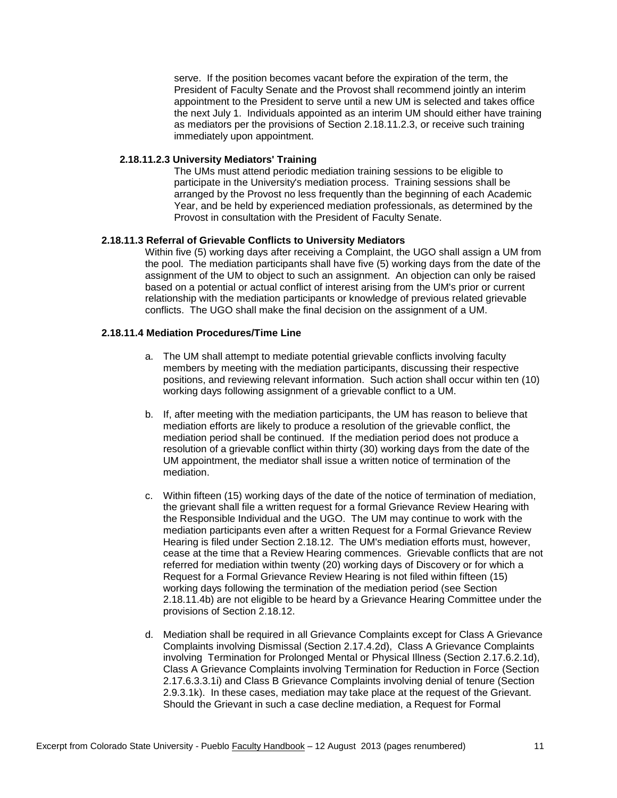serve. If the position becomes vacant before the expiration of the term, the President of Faculty Senate and the Provost shall recommend jointly an interim appointment to the President to serve until a new UM is selected and takes office the next July 1. Individuals appointed as an interim UM should either have training as mediators per the provisions of Section 2.18.11.2.3, or receive such training immediately upon appointment.

## **2.18.11.2.3 University Mediators' Training**

The UMs must attend periodic mediation training sessions to be eligible to participate in the University's mediation process. Training sessions shall be arranged by the Provost no less frequently than the beginning of each Academic Year, and be held by experienced mediation professionals, as determined by the Provost in consultation with the President of Faculty Senate.

## **2.18.11.3 Referral of Grievable Conflicts to University Mediators**

Within five (5) working days after receiving a Complaint, the UGO shall assign a UM from the pool. The mediation participants shall have five (5) working days from the date of the assignment of the UM to object to such an assignment. An objection can only be raised based on a potential or actual conflict of interest arising from the UM's prior or current relationship with the mediation participants or knowledge of previous related grievable conflicts. The UGO shall make the final decision on the assignment of a UM.

# **2.18.11.4 Mediation Procedures/Time Line**

- a. The UM shall attempt to mediate potential grievable conflicts involving faculty members by meeting with the mediation participants, discussing their respective positions, and reviewing relevant information. Such action shall occur within ten (10) working days following assignment of a grievable conflict to a UM.
- b. If, after meeting with the mediation participants, the UM has reason to believe that mediation efforts are likely to produce a resolution of the grievable conflict, the mediation period shall be continued. If the mediation period does not produce a resolution of a grievable conflict within thirty (30) working days from the date of the UM appointment, the mediator shall issue a written notice of termination of the mediation.
- c. Within fifteen (15) working days of the date of the notice of termination of mediation, the grievant shall file a written request for a formal Grievance Review Hearing with the Responsible Individual and the UGO. The UM may continue to work with the mediation participants even after a written Request for a Formal Grievance Review Hearing is filed under Section 2.18.12. The UM's mediation efforts must, however, cease at the time that a Review Hearing commences. Grievable conflicts that are not referred for mediation within twenty (20) working days of Discovery or for which a Request for a Formal Grievance Review Hearing is not filed within fifteen (15) working days following the termination of the mediation period (see Section 2.18.11.4b) are not eligible to be heard by a Grievance Hearing Committee under the provisions of Section 2.18.12.
- d. Mediation shall be required in all Grievance Complaints except for Class A Grievance Complaints involving Dismissal (Section 2.17.4.2d), Class A Grievance Complaints involving Termination for Prolonged Mental or Physical Illness (Section 2.17.6.2.1d), Class A Grievance Complaints involving Termination for Reduction in Force (Section 2.17.6.3.3.1i) and Class B Grievance Complaints involving denial of tenure (Section 2.9.3.1k). In these cases, mediation may take place at the request of the Grievant. Should the Grievant in such a case decline mediation, a Request for Formal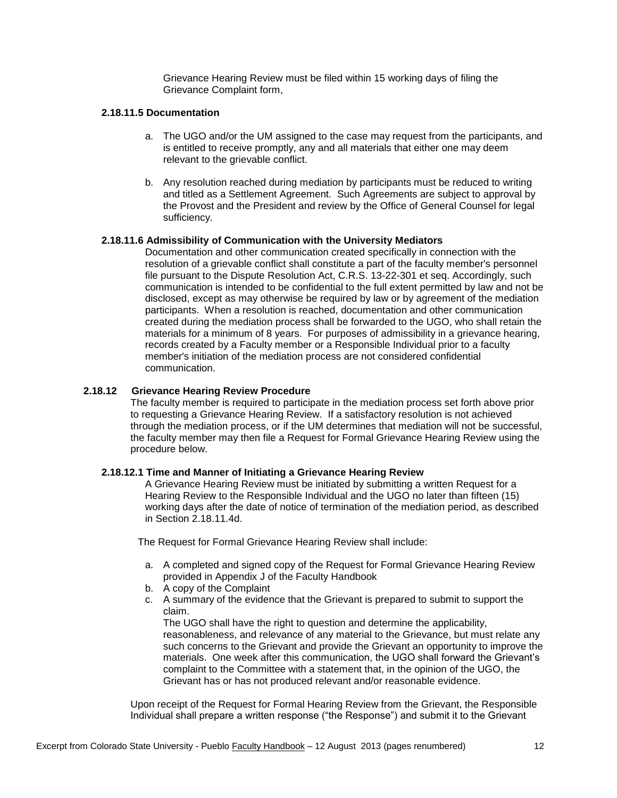Grievance Hearing Review must be filed within 15 working days of filing the Grievance Complaint form,

# **2.18.11.5 Documentation**

- a. The UGO and/or the UM assigned to the case may request from the participants, and is entitled to receive promptly, any and all materials that either one may deem relevant to the grievable conflict.
- b. Any resolution reached during mediation by participants must be reduced to writing and titled as a Settlement Agreement. Such Agreements are subject to approval by the Provost and the President and review by the Office of General Counsel for legal sufficiency.

## **2.18.11.6 Admissibility of Communication with the University Mediators**

Documentation and other communication created specifically in connection with the resolution of a grievable conflict shall constitute a part of the faculty member's personnel file pursuant to the Dispute Resolution Act, C.R.S. 13-22-301 et seq. Accordingly, such communication is intended to be confidential to the full extent permitted by law and not be disclosed, except as may otherwise be required by law or by agreement of the mediation participants. When a resolution is reached, documentation and other communication created during the mediation process shall be forwarded to the UGO, who shall retain the materials for a minimum of 8 years. For purposes of admissibility in a grievance hearing, records created by a Faculty member or a Responsible Individual prior to a faculty member's initiation of the mediation process are not considered confidential communication.

## **2.18.12 Grievance Hearing Review Procedure**

The faculty member is required to participate in the mediation process set forth above prior to requesting a Grievance Hearing Review. If a satisfactory resolution is not achieved through the mediation process, or if the UM determines that mediation will not be successful, the faculty member may then file a Request for Formal Grievance Hearing Review using the procedure below.

# **2.18.12.1 Time and Manner of Initiating a Grievance Hearing Review**

A Grievance Hearing Review must be initiated by submitting a written Request for a Hearing Review to the Responsible Individual and the UGO no later than fifteen (15) working days after the date of notice of termination of the mediation period, as described in Section 2.18.11.4d.

The Request for Formal Grievance Hearing Review shall include:

- a. A completed and signed copy of the Request for Formal Grievance Hearing Review provided in Appendix J of the Faculty Handbook
- b. A copy of the Complaint
- c. A summary of the evidence that the Grievant is prepared to submit to support the claim.

The UGO shall have the right to question and determine the applicability, reasonableness, and relevance of any material to the Grievance, but must relate any such concerns to the Grievant and provide the Grievant an opportunity to improve the materials. One week after this communication, the UGO shall forward the Grievant's complaint to the Committee with a statement that, in the opinion of the UGO, the Grievant has or has not produced relevant and/or reasonable evidence.

Upon receipt of the Request for Formal Hearing Review from the Grievant, the Responsible Individual shall prepare a written response ("the Response") and submit it to the Grievant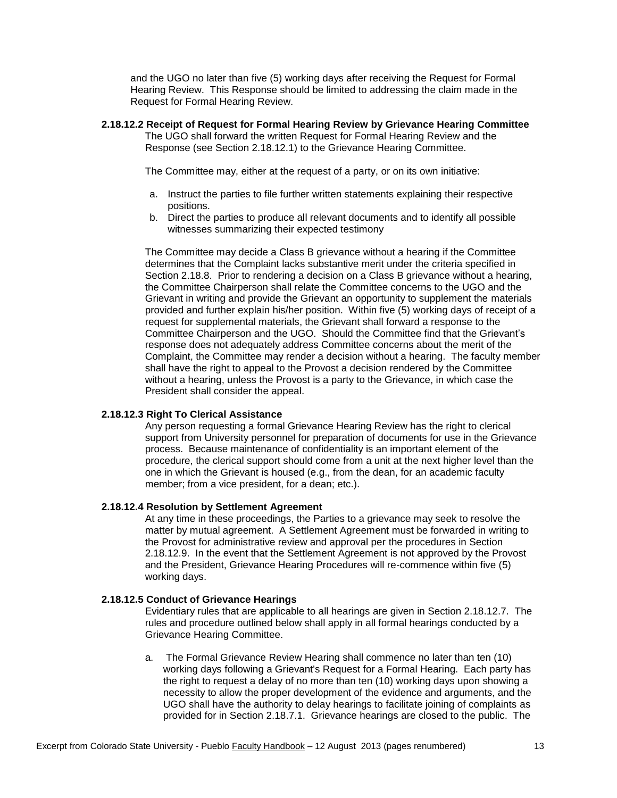and the UGO no later than five (5) working days after receiving the Request for Formal Hearing Review. This Response should be limited to addressing the claim made in the Request for Formal Hearing Review.

# **2.18.12.2 Receipt of Request for Formal Hearing Review by Grievance Hearing Committee**

The UGO shall forward the written Request for Formal Hearing Review and the Response (see Section 2.18.12.1) to the Grievance Hearing Committee.

The Committee may, either at the request of a party, or on its own initiative:

- a. Instruct the parties to file further written statements explaining their respective positions.
- b. Direct the parties to produce all relevant documents and to identify all possible witnesses summarizing their expected testimony

The Committee may decide a Class B grievance without a hearing if the Committee determines that the Complaint lacks substantive merit under the criteria specified in Section 2.18.8. Prior to rendering a decision on a Class B grievance without a hearing, the Committee Chairperson shall relate the Committee concerns to the UGO and the Grievant in writing and provide the Grievant an opportunity to supplement the materials provided and further explain his/her position. Within five (5) working days of receipt of a request for supplemental materials, the Grievant shall forward a response to the Committee Chairperson and the UGO. Should the Committee find that the Grievant's response does not adequately address Committee concerns about the merit of the Complaint, the Committee may render a decision without a hearing. The faculty member shall have the right to appeal to the Provost a decision rendered by the Committee without a hearing, unless the Provost is a party to the Grievance, in which case the President shall consider the appeal.

# **2.18.12.3 Right To Clerical Assistance**

Any person requesting a formal Grievance Hearing Review has the right to clerical support from University personnel for preparation of documents for use in the Grievance process. Because maintenance of confidentiality is an important element of the procedure, the clerical support should come from a unit at the next higher level than the one in which the Grievant is housed (e.g., from the dean, for an academic faculty member; from a vice president, for a dean; etc.).

# **2.18.12.4 Resolution by Settlement Agreement**

At any time in these proceedings, the Parties to a grievance may seek to resolve the matter by mutual agreement. A Settlement Agreement must be forwarded in writing to the Provost for administrative review and approval per the procedures in Section 2.18.12.9. In the event that the Settlement Agreement is not approved by the Provost and the President, Grievance Hearing Procedures will re-commence within five (5) working days.

# **2.18.12.5 Conduct of Grievance Hearings**

Evidentiary rules that are applicable to all hearings are given in Section 2.18.12.7. The rules and procedure outlined below shall apply in all formal hearings conducted by a Grievance Hearing Committee.

a. The Formal Grievance Review Hearing shall commence no later than ten (10) working days following a Grievant's Request for a Formal Hearing. Each party has the right to request a delay of no more than ten (10) working days upon showing a necessity to allow the proper development of the evidence and arguments, and the UGO shall have the authority to delay hearings to facilitate joining of complaints as provided for in Section 2.18.7.1. Grievance hearings are closed to the public. The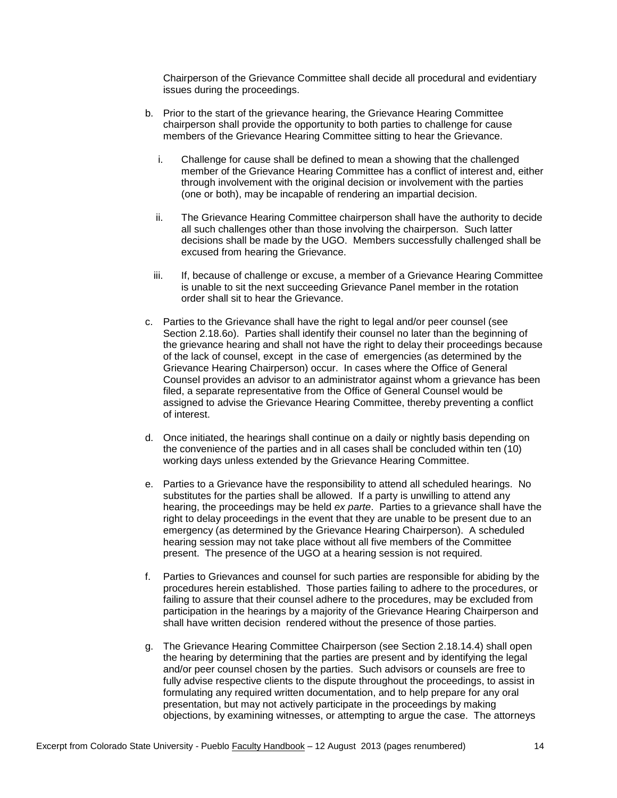Chairperson of the Grievance Committee shall decide all procedural and evidentiary issues during the proceedings.

- b. Prior to the start of the grievance hearing, the Grievance Hearing Committee chairperson shall provide the opportunity to both parties to challenge for cause members of the Grievance Hearing Committee sitting to hear the Grievance.
	- i. Challenge for cause shall be defined to mean a showing that the challenged member of the Grievance Hearing Committee has a conflict of interest and, either through involvement with the original decision or involvement with the parties (one or both), may be incapable of rendering an impartial decision.
	- ii. The Grievance Hearing Committee chairperson shall have the authority to decide all such challenges other than those involving the chairperson. Such latter decisions shall be made by the UGO. Members successfully challenged shall be excused from hearing the Grievance.
	- iii. If, because of challenge or excuse, a member of a Grievance Hearing Committee is unable to sit the next succeeding Grievance Panel member in the rotation order shall sit to hear the Grievance.
- c. Parties to the Grievance shall have the right to legal and/or peer counsel (see Section 2.18.6o). Parties shall identify their counsel no later than the beginning of the grievance hearing and shall not have the right to delay their proceedings because of the lack of counsel, except in the case of emergencies (as determined by the Grievance Hearing Chairperson) occur. In cases where the Office of General Counsel provides an advisor to an administrator against whom a grievance has been filed, a separate representative from the Office of General Counsel would be assigned to advise the Grievance Hearing Committee, thereby preventing a conflict of interest.
- d. Once initiated, the hearings shall continue on a daily or nightly basis depending on the convenience of the parties and in all cases shall be concluded within ten (10) working days unless extended by the Grievance Hearing Committee.
- e. Parties to a Grievance have the responsibility to attend all scheduled hearings. No substitutes for the parties shall be allowed. If a party is unwilling to attend any hearing, the proceedings may be held *ex parte*. Parties to a grievance shall have the right to delay proceedings in the event that they are unable to be present due to an emergency (as determined by the Grievance Hearing Chairperson). A scheduled hearing session may not take place without all five members of the Committee present. The presence of the UGO at a hearing session is not required.
- f. Parties to Grievances and counsel for such parties are responsible for abiding by the procedures herein established. Those parties failing to adhere to the procedures, or failing to assure that their counsel adhere to the procedures, may be excluded from participation in the hearings by a majority of the Grievance Hearing Chairperson and shall have written decision rendered without the presence of those parties.
- g. The Grievance Hearing Committee Chairperson (see Section 2.18.14.4) shall open the hearing by determining that the parties are present and by identifying the legal and/or peer counsel chosen by the parties. Such advisors or counsels are free to fully advise respective clients to the dispute throughout the proceedings, to assist in formulating any required written documentation, and to help prepare for any oral presentation, but may not actively participate in the proceedings by making objections, by examining witnesses, or attempting to argue the case. The attorneys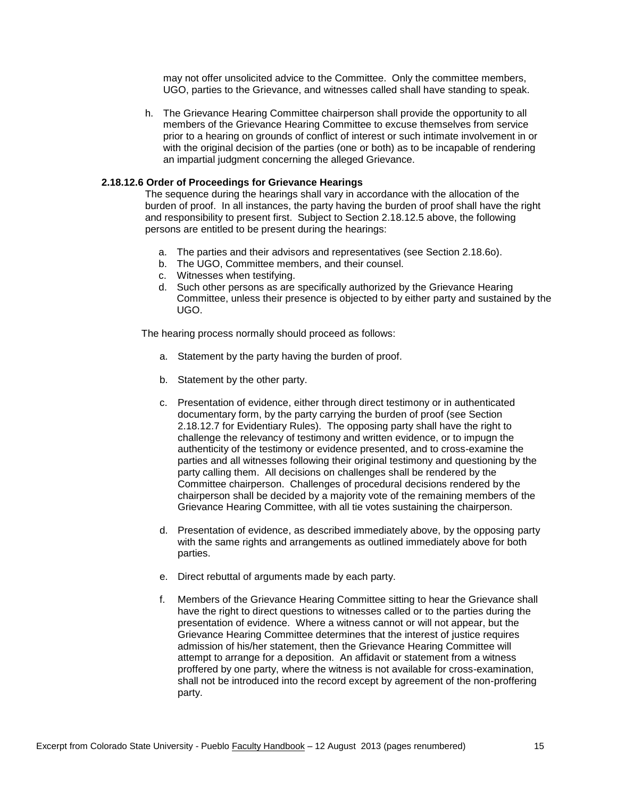may not offer unsolicited advice to the Committee. Only the committee members, UGO, parties to the Grievance, and witnesses called shall have standing to speak.

h. The Grievance Hearing Committee chairperson shall provide the opportunity to all members of the Grievance Hearing Committee to excuse themselves from service prior to a hearing on grounds of conflict of interest or such intimate involvement in or with the original decision of the parties (one or both) as to be incapable of rendering an impartial judgment concerning the alleged Grievance.

## **2.18.12.6 Order of Proceedings for Grievance Hearings**

The sequence during the hearings shall vary in accordance with the allocation of the burden of proof. In all instances, the party having the burden of proof shall have the right and responsibility to present first. Subject to Section 2.18.12.5 above, the following persons are entitled to be present during the hearings:

- a. The parties and their advisors and representatives (see Section 2.18.6o).
- b. The UGO, Committee members, and their counsel.
- c. Witnesses when testifying.
- d. Such other persons as are specifically authorized by the Grievance Hearing Committee, unless their presence is objected to by either party and sustained by the UGO.

The hearing process normally should proceed as follows:

- a. Statement by the party having the burden of proof.
- b. Statement by the other party.
- c. Presentation of evidence, either through direct testimony or in authenticated documentary form, by the party carrying the burden of proof (see Section 2.18.12.7 for Evidentiary Rules). The opposing party shall have the right to challenge the relevancy of testimony and written evidence, or to impugn the authenticity of the testimony or evidence presented, and to cross-examine the parties and all witnesses following their original testimony and questioning by the party calling them. All decisions on challenges shall be rendered by the Committee chairperson. Challenges of procedural decisions rendered by the chairperson shall be decided by a majority vote of the remaining members of the Grievance Hearing Committee, with all tie votes sustaining the chairperson.
- d. Presentation of evidence, as described immediately above, by the opposing party with the same rights and arrangements as outlined immediately above for both parties.
- e. Direct rebuttal of arguments made by each party.
- f. Members of the Grievance Hearing Committee sitting to hear the Grievance shall have the right to direct questions to witnesses called or to the parties during the presentation of evidence. Where a witness cannot or will not appear, but the Grievance Hearing Committee determines that the interest of justice requires admission of his/her statement, then the Grievance Hearing Committee will attempt to arrange for a deposition. An affidavit or statement from a witness proffered by one party, where the witness is not available for cross-examination, shall not be introduced into the record except by agreement of the non-proffering party.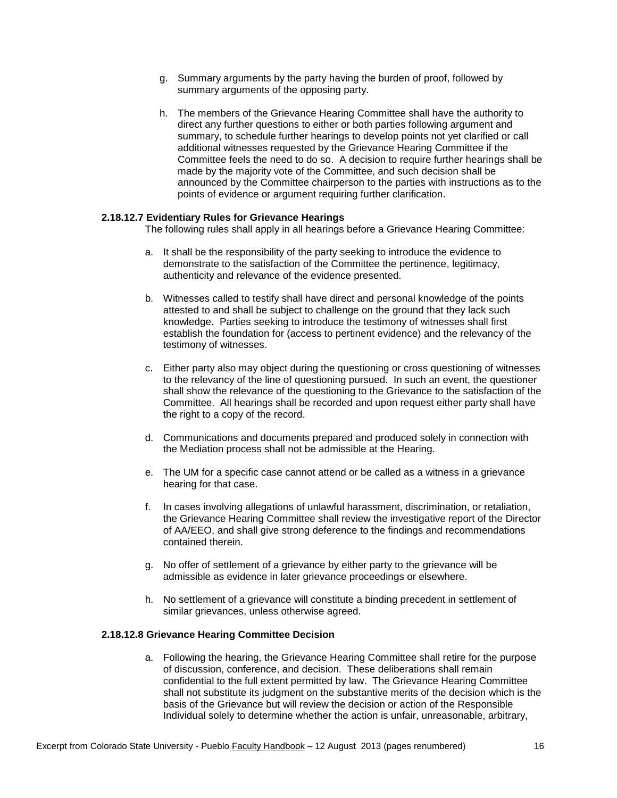- g. Summary arguments by the party having the burden of proof, followed by summary arguments of the opposing party.
- h. The members of the Grievance Hearing Committee shall have the authority to direct any further questions to either or both parties following argument and summary, to schedule further hearings to develop points not yet clarified or call additional witnesses requested by the Grievance Hearing Committee if the Committee feels the need to do so. A decision to require further hearings shall be made by the majority vote of the Committee, and such decision shall be announced by the Committee chairperson to the parties with instructions as to the points of evidence or argument requiring further clarification.

## **2.18.12.7 Evidentiary Rules for Grievance Hearings**

The following rules shall apply in all hearings before a Grievance Hearing Committee:

- a. It shall be the responsibility of the party seeking to introduce the evidence to demonstrate to the satisfaction of the Committee the pertinence, legitimacy, authenticity and relevance of the evidence presented.
- b. Witnesses called to testify shall have direct and personal knowledge of the points attested to and shall be subject to challenge on the ground that they lack such knowledge. Parties seeking to introduce the testimony of witnesses shall first establish the foundation for (access to pertinent evidence) and the relevancy of the testimony of witnesses.
- c. Either party also may object during the questioning or cross questioning of witnesses to the relevancy of the line of questioning pursued. In such an event, the questioner shall show the relevance of the questioning to the Grievance to the satisfaction of the Committee. All hearings shall be recorded and upon request either party shall have the right to a copy of the record.
- d. Communications and documents prepared and produced solely in connection with the Mediation process shall not be admissible at the Hearing.
- e. The UM for a specific case cannot attend or be called as a witness in a grievance hearing for that case.
- f. In cases involving allegations of unlawful harassment, discrimination, or retaliation, the Grievance Hearing Committee shall review the investigative report of the Director of AA/EEO, and shall give strong deference to the findings and recommendations contained therein.
- g. No offer of settlement of a grievance by either party to the grievance will be admissible as evidence in later grievance proceedings or elsewhere.
- h. No settlement of a grievance will constitute a binding precedent in settlement of similar grievances, unless otherwise agreed.

# **2.18.12.8 Grievance Hearing Committee Decision**

a. Following the hearing, the Grievance Hearing Committee shall retire for the purpose of discussion, conference, and decision. These deliberations shall remain confidential to the full extent permitted by law. The Grievance Hearing Committee shall not substitute its judgment on the substantive merits of the decision which is the basis of the Grievance but will review the decision or action of the Responsible Individual solely to determine whether the action is unfair, unreasonable, arbitrary,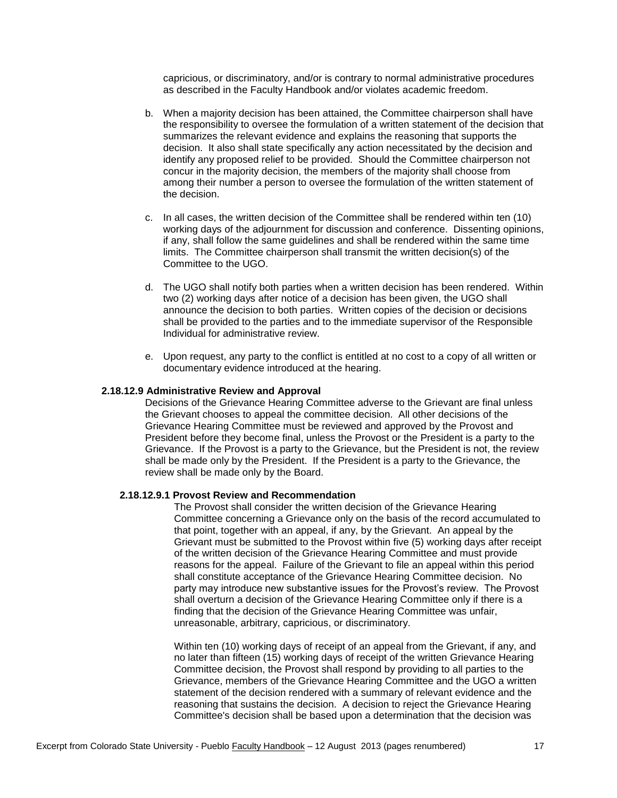capricious, or discriminatory, and/or is contrary to normal administrative procedures as described in the Faculty Handbook and/or violates academic freedom.

- b. When a majority decision has been attained, the Committee chairperson shall have the responsibility to oversee the formulation of a written statement of the decision that summarizes the relevant evidence and explains the reasoning that supports the decision. It also shall state specifically any action necessitated by the decision and identify any proposed relief to be provided. Should the Committee chairperson not concur in the majority decision, the members of the majority shall choose from among their number a person to oversee the formulation of the written statement of the decision.
- c. In all cases, the written decision of the Committee shall be rendered within ten (10) working days of the adjournment for discussion and conference. Dissenting opinions, if any, shall follow the same guidelines and shall be rendered within the same time limits. The Committee chairperson shall transmit the written decision(s) of the Committee to the UGO.
- d. The UGO shall notify both parties when a written decision has been rendered. Within two (2) working days after notice of a decision has been given, the UGO shall announce the decision to both parties. Written copies of the decision or decisions shall be provided to the parties and to the immediate supervisor of the Responsible Individual for administrative review.
- e. Upon request, any party to the conflict is entitled at no cost to a copy of all written or documentary evidence introduced at the hearing.

#### **2.18.12.9 Administrative Review and Approval**

Decisions of the Grievance Hearing Committee adverse to the Grievant are final unless the Grievant chooses to appeal the committee decision. All other decisions of the Grievance Hearing Committee must be reviewed and approved by the Provost and President before they become final, unless the Provost or the President is a party to the Grievance. If the Provost is a party to the Grievance, but the President is not, the review shall be made only by the President. If the President is a party to the Grievance, the review shall be made only by the Board.

#### **2.18.12.9.1 Provost Review and Recommendation**

The Provost shall consider the written decision of the Grievance Hearing Committee concerning a Grievance only on the basis of the record accumulated to that point, together with an appeal, if any, by the Grievant. An appeal by the Grievant must be submitted to the Provost within five (5) working days after receipt of the written decision of the Grievance Hearing Committee and must provide reasons for the appeal. Failure of the Grievant to file an appeal within this period shall constitute acceptance of the Grievance Hearing Committee decision. No party may introduce new substantive issues for the Provost's review. The Provost shall overturn a decision of the Grievance Hearing Committee only if there is a finding that the decision of the Grievance Hearing Committee was unfair, unreasonable, arbitrary, capricious, or discriminatory.

Within ten (10) working days of receipt of an appeal from the Grievant, if any, and no later than fifteen (15) working days of receipt of the written Grievance Hearing Committee decision, the Provost shall respond by providing to all parties to the Grievance, members of the Grievance Hearing Committee and the UGO a written statement of the decision rendered with a summary of relevant evidence and the reasoning that sustains the decision. A decision to reject the Grievance Hearing Committee's decision shall be based upon a determination that the decision was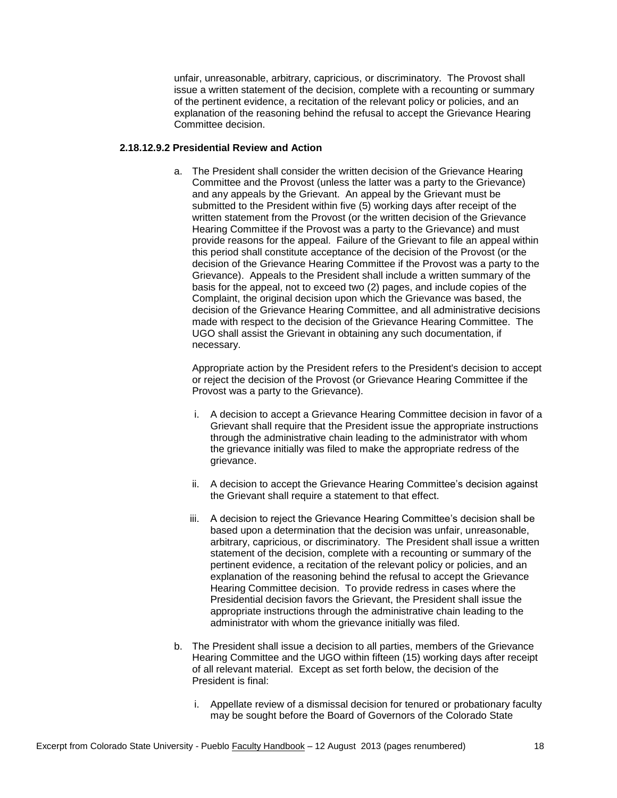unfair, unreasonable, arbitrary, capricious, or discriminatory. The Provost shall issue a written statement of the decision, complete with a recounting or summary of the pertinent evidence, a recitation of the relevant policy or policies, and an explanation of the reasoning behind the refusal to accept the Grievance Hearing Committee decision.

## **2.18.12.9.2 Presidential Review and Action**

a. The President shall consider the written decision of the Grievance Hearing Committee and the Provost (unless the latter was a party to the Grievance) and any appeals by the Grievant. An appeal by the Grievant must be submitted to the President within five (5) working days after receipt of the written statement from the Provost (or the written decision of the Grievance Hearing Committee if the Provost was a party to the Grievance) and must provide reasons for the appeal. Failure of the Grievant to file an appeal within this period shall constitute acceptance of the decision of the Provost (or the decision of the Grievance Hearing Committee if the Provost was a party to the Grievance). Appeals to the President shall include a written summary of the basis for the appeal, not to exceed two (2) pages, and include copies of the Complaint, the original decision upon which the Grievance was based, the decision of the Grievance Hearing Committee, and all administrative decisions made with respect to the decision of the Grievance Hearing Committee. The UGO shall assist the Grievant in obtaining any such documentation, if necessary.

Appropriate action by the President refers to the President's decision to accept or reject the decision of the Provost (or Grievance Hearing Committee if the Provost was a party to the Grievance).

- i. A decision to accept a Grievance Hearing Committee decision in favor of a Grievant shall require that the President issue the appropriate instructions through the administrative chain leading to the administrator with whom the grievance initially was filed to make the appropriate redress of the grievance.
- ii. A decision to accept the Grievance Hearing Committee's decision against the Grievant shall require a statement to that effect.
- iii. A decision to reject the Grievance Hearing Committee's decision shall be based upon a determination that the decision was unfair, unreasonable, arbitrary, capricious, or discriminatory. The President shall issue a written statement of the decision, complete with a recounting or summary of the pertinent evidence, a recitation of the relevant policy or policies, and an explanation of the reasoning behind the refusal to accept the Grievance Hearing Committee decision. To provide redress in cases where the Presidential decision favors the Grievant, the President shall issue the appropriate instructions through the administrative chain leading to the administrator with whom the grievance initially was filed.
- b. The President shall issue a decision to all parties, members of the Grievance Hearing Committee and the UGO within fifteen (15) working days after receipt of all relevant material. Except as set forth below, the decision of the President is final:
	- i. Appellate review of a dismissal decision for tenured or probationary faculty may be sought before the Board of Governors of the Colorado State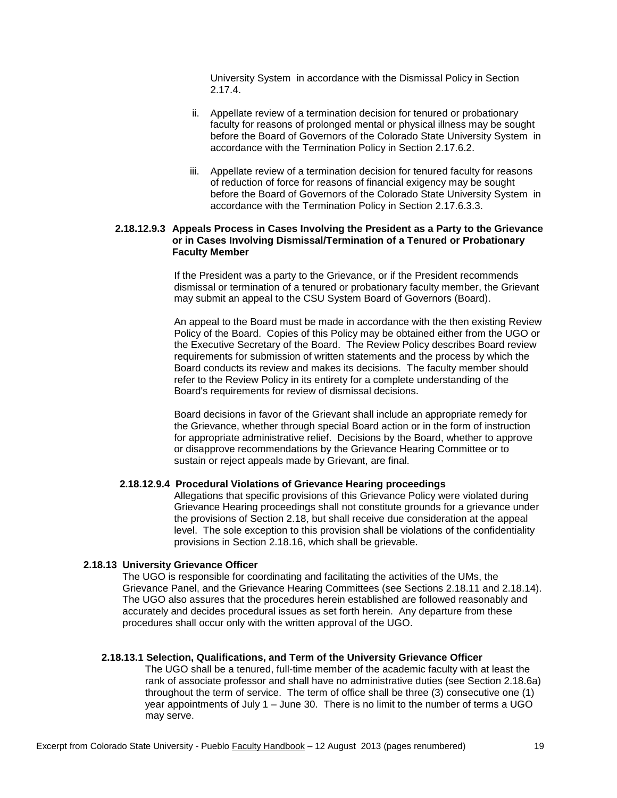University System in accordance with the Dismissal Policy in Section 2.17.4.

- ii. Appellate review of a termination decision for tenured or probationary faculty for reasons of prolonged mental or physical illness may be sought before the Board of Governors of the Colorado State University System in accordance with the Termination Policy in Section 2.17.6.2.
- iii. Appellate review of a termination decision for tenured faculty for reasons of reduction of force for reasons of financial exigency may be sought before the Board of Governors of the Colorado State University System in accordance with the Termination Policy in Section 2.17.6.3.3.

## **2.18.12.9.3 Appeals Process in Cases Involving the President as a Party to the Grievance or in Cases Involving Dismissal/Termination of a Tenured or Probationary Faculty Member**

If the President was a party to the Grievance, or if the President recommends dismissal or termination of a tenured or probationary faculty member, the Grievant may submit an appeal to the CSU System Board of Governors (Board).

An appeal to the Board must be made in accordance with the then existing Review Policy of the Board. Copies of this Policy may be obtained either from the UGO or the Executive Secretary of the Board. The Review Policy describes Board review requirements for submission of written statements and the process by which the Board conducts its review and makes its decisions. The faculty member should refer to the Review Policy in its entirety for a complete understanding of the Board's requirements for review of dismissal decisions.

Board decisions in favor of the Grievant shall include an appropriate remedy for the Grievance, whether through special Board action or in the form of instruction for appropriate administrative relief. Decisions by the Board, whether to approve or disapprove recommendations by the Grievance Hearing Committee or to sustain or reject appeals made by Grievant, are final.

#### **2.18.12.9.4 Procedural Violations of Grievance Hearing proceedings**

Allegations that specific provisions of this Grievance Policy were violated during Grievance Hearing proceedings shall not constitute grounds for a grievance under the provisions of Section 2.18, but shall receive due consideration at the appeal level. The sole exception to this provision shall be violations of the confidentiality provisions in Section 2.18.16, which shall be grievable.

## **2.18.13 University Grievance Officer**

The UGO is responsible for coordinating and facilitating the activities of the UMs, the Grievance Panel, and the Grievance Hearing Committees (see Sections 2.18.11 and 2.18.14). The UGO also assures that the procedures herein established are followed reasonably and accurately and decides procedural issues as set forth herein. Any departure from these procedures shall occur only with the written approval of the UGO.

#### **2.18.13.1 Selection, Qualifications, and Term of the University Grievance Officer**

The UGO shall be a tenured, full-time member of the academic faculty with at least the rank of associate professor and shall have no administrative duties (see Section 2.18.6a) throughout the term of service. The term of office shall be three (3) consecutive one (1) year appointments of July 1 – June 30. There is no limit to the number of terms a UGO may serve.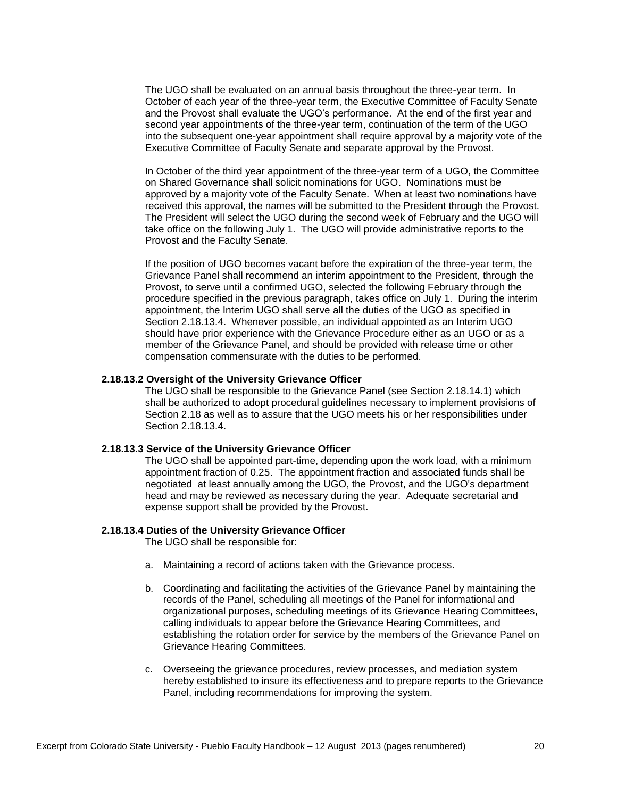The UGO shall be evaluated on an annual basis throughout the three-year term. In October of each year of the three-year term, the Executive Committee of Faculty Senate and the Provost shall evaluate the UGO's performance. At the end of the first year and second year appointments of the three-year term, continuation of the term of the UGO into the subsequent one-year appointment shall require approval by a majority vote of the Executive Committee of Faculty Senate and separate approval by the Provost.

In October of the third year appointment of the three-year term of a UGO, the Committee on Shared Governance shall solicit nominations for UGO. Nominations must be approved by a majority vote of the Faculty Senate. When at least two nominations have received this approval, the names will be submitted to the President through the Provost. The President will select the UGO during the second week of February and the UGO will take office on the following July 1. The UGO will provide administrative reports to the Provost and the Faculty Senate.

If the position of UGO becomes vacant before the expiration of the three-year term, the Grievance Panel shall recommend an interim appointment to the President, through the Provost, to serve until a confirmed UGO, selected the following February through the procedure specified in the previous paragraph, takes office on July 1. During the interim appointment, the Interim UGO shall serve all the duties of the UGO as specified in Section 2.18.13.4. Whenever possible, an individual appointed as an Interim UGO should have prior experience with the Grievance Procedure either as an UGO or as a member of the Grievance Panel, and should be provided with release time or other compensation commensurate with the duties to be performed.

## **2.18.13.2 Oversight of the University Grievance Officer**

The UGO shall be responsible to the Grievance Panel (see Section 2.18.14.1) which shall be authorized to adopt procedural guidelines necessary to implement provisions of Section 2.18 as well as to assure that the UGO meets his or her responsibilities under Section 2.18.13.4.

### **2.18.13.3 Service of the University Grievance Officer**

The UGO shall be appointed part-time, depending upon the work load, with a minimum appointment fraction of 0.25. The appointment fraction and associated funds shall be negotiated at least annually among the UGO, the Provost, and the UGO's department head and may be reviewed as necessary during the year. Adequate secretarial and expense support shall be provided by the Provost.

#### **2.18.13.4 Duties of the University Grievance Officer**

The UGO shall be responsible for:

- a. Maintaining a record of actions taken with the Grievance process.
- b. Coordinating and facilitating the activities of the Grievance Panel by maintaining the records of the Panel, scheduling all meetings of the Panel for informational and organizational purposes, scheduling meetings of its Grievance Hearing Committees, calling individuals to appear before the Grievance Hearing Committees, and establishing the rotation order for service by the members of the Grievance Panel on Grievance Hearing Committees.
- c. Overseeing the grievance procedures, review processes, and mediation system hereby established to insure its effectiveness and to prepare reports to the Grievance Panel, including recommendations for improving the system.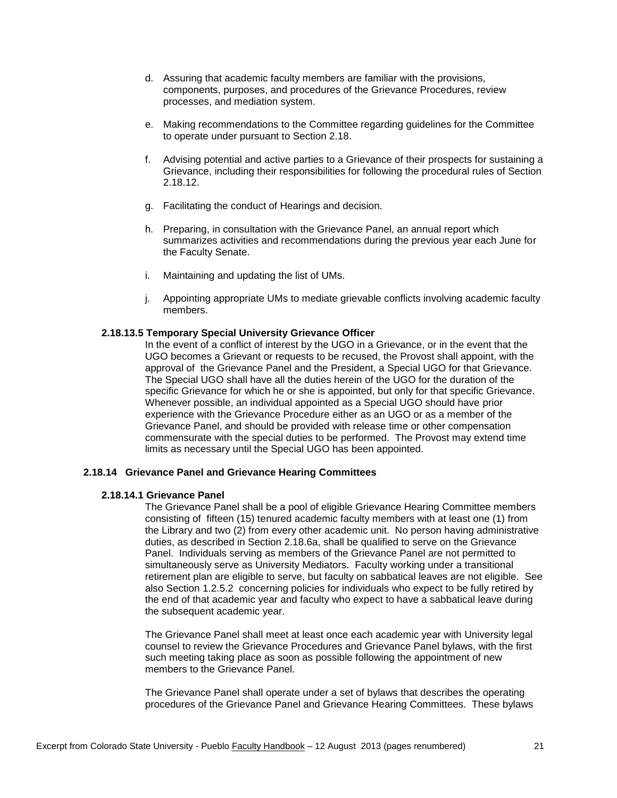- d. Assuring that academic faculty members are familiar with the provisions, components, purposes, and procedures of the Grievance Procedures, review processes, and mediation system.
- e. Making recommendations to the Committee regarding guidelines for the Committee to operate under pursuant to Section 2.18.
- f. Advising potential and active parties to a Grievance of their prospects for sustaining a Grievance, including their responsibilities for following the procedural rules of Section 2.18.12.
- g. Facilitating the conduct of Hearings and decision.
- h. Preparing, in consultation with the Grievance Panel, an annual report which summarizes activities and recommendations during the previous year each June for the Faculty Senate.
- i. Maintaining and updating the list of UMs.
- j. Appointing appropriate UMs to mediate grievable conflicts involving academic faculty members.

# **2.18.13.5 Temporary Special University Grievance Officer**

In the event of a conflict of interest by the UGO in a Grievance, or in the event that the UGO becomes a Grievant or requests to be recused, the Provost shall appoint, with the approval of the Grievance Panel and the President, a Special UGO for that Grievance. The Special UGO shall have all the duties herein of the UGO for the duration of the specific Grievance for which he or she is appointed, but only for that specific Grievance. Whenever possible, an individual appointed as a Special UGO should have prior experience with the Grievance Procedure either as an UGO or as a member of the Grievance Panel, and should be provided with release time or other compensation commensurate with the special duties to be performed. The Provost may extend time limits as necessary until the Special UGO has been appointed.

### **2.18.14 Grievance Panel and Grievance Hearing Committees**

#### **2.18.14.1 Grievance Panel**

The Grievance Panel shall be a pool of eligible Grievance Hearing Committee members consisting of fifteen (15) tenured academic faculty members with at least one (1) from the Library and two (2) from every other academic unit. No person having administrative duties, as described in Section 2.18.6a, shall be qualified to serve on the Grievance Panel. Individuals serving as members of the Grievance Panel are not permitted to simultaneously serve as University Mediators. Faculty working under a transitional retirement plan are eligible to serve, but faculty on sabbatical leaves are not eligible. See also Section 1.2.5.2 concerning policies for individuals who expect to be fully retired by the end of that academic year and faculty who expect to have a sabbatical leave during the subsequent academic year.

The Grievance Panel shall meet at least once each academic year with University legal counsel to review the Grievance Procedures and Grievance Panel bylaws, with the first such meeting taking place as soon as possible following the appointment of new members to the Grievance Panel.

The Grievance Panel shall operate under a set of bylaws that describes the operating procedures of the Grievance Panel and Grievance Hearing Committees. These bylaws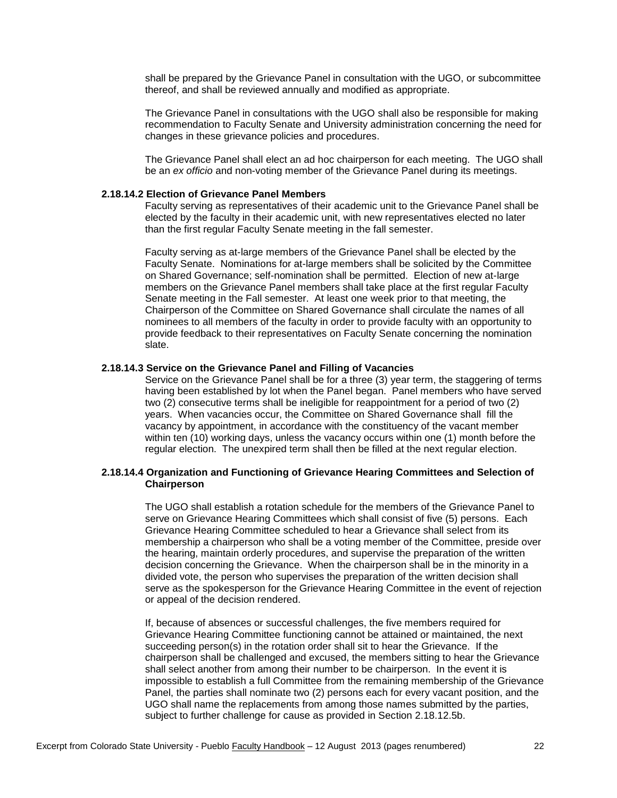shall be prepared by the Grievance Panel in consultation with the UGO, or subcommittee thereof, and shall be reviewed annually and modified as appropriate.

The Grievance Panel in consultations with the UGO shall also be responsible for making recommendation to Faculty Senate and University administration concerning the need for changes in these grievance policies and procedures.

The Grievance Panel shall elect an ad hoc chairperson for each meeting. The UGO shall be an *ex officio* and non-voting member of the Grievance Panel during its meetings.

## **2.18.14.2 Election of Grievance Panel Members**

Faculty serving as representatives of their academic unit to the Grievance Panel shall be elected by the faculty in their academic unit, with new representatives elected no later than the first regular Faculty Senate meeting in the fall semester.

Faculty serving as at-large members of the Grievance Panel shall be elected by the Faculty Senate. Nominations for at-large members shall be solicited by the Committee on Shared Governance; self-nomination shall be permitted. Election of new at-large members on the Grievance Panel members shall take place at the first regular Faculty Senate meeting in the Fall semester. At least one week prior to that meeting, the Chairperson of the Committee on Shared Governance shall circulate the names of all nominees to all members of the faculty in order to provide faculty with an opportunity to provide feedback to their representatives on Faculty Senate concerning the nomination slate.

## **2.18.14.3 Service on the Grievance Panel and Filling of Vacancies**

Service on the Grievance Panel shall be for a three (3) year term, the staggering of terms having been established by lot when the Panel began. Panel members who have served two (2) consecutive terms shall be ineligible for reappointment for a period of two (2) years. When vacancies occur, the Committee on Shared Governance shall fill the vacancy by appointment, in accordance with the constituency of the vacant member within ten (10) working days, unless the vacancy occurs within one (1) month before the regular election. The unexpired term shall then be filled at the next regular election.

# **2.18.14.4 Organization and Functioning of Grievance Hearing Committees and Selection of Chairperson**

The UGO shall establish a rotation schedule for the members of the Grievance Panel to serve on Grievance Hearing Committees which shall consist of five (5) persons. Each Grievance Hearing Committee scheduled to hear a Grievance shall select from its membership a chairperson who shall be a voting member of the Committee, preside over the hearing, maintain orderly procedures, and supervise the preparation of the written decision concerning the Grievance. When the chairperson shall be in the minority in a divided vote, the person who supervises the preparation of the written decision shall serve as the spokesperson for the Grievance Hearing Committee in the event of rejection or appeal of the decision rendered.

If, because of absences or successful challenges, the five members required for Grievance Hearing Committee functioning cannot be attained or maintained, the next succeeding person(s) in the rotation order shall sit to hear the Grievance. If the chairperson shall be challenged and excused, the members sitting to hear the Grievance shall select another from among their number to be chairperson. In the event it is impossible to establish a full Committee from the remaining membership of the Grievance Panel, the parties shall nominate two (2) persons each for every vacant position, and the UGO shall name the replacements from among those names submitted by the parties, subject to further challenge for cause as provided in Section 2.18.12.5b.